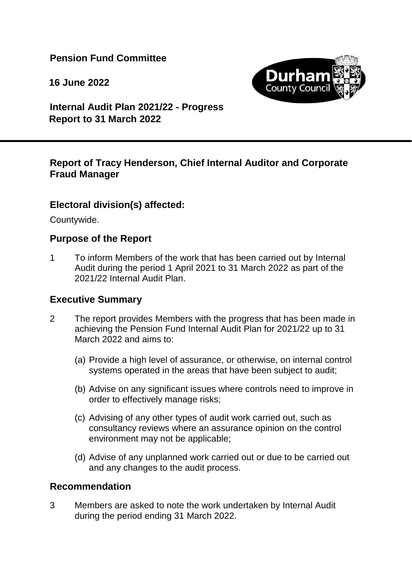**Pension Fund Committee**

**16 June 2022**



**Internal Audit Plan 2021/22 - Progress Report to 31 March 2022**

#### **Report of Tracy Henderson, Chief Internal Auditor and Corporate Fraud Manager**

#### **Electoral division(s) affected:**

Countywide.

#### **Purpose of the Report**

1 To inform Members of the work that has been carried out by Internal Audit during the period 1 April 2021 to 31 March 2022 as part of the 2021/22 Internal Audit Plan.

#### **Executive Summary**

- 2 The report provides Members with the progress that has been made in achieving the Pension Fund Internal Audit Plan for 2021/22 up to 31 March 2022 and aims to:
	- (a) Provide a high level of assurance, or otherwise, on internal control systems operated in the areas that have been subject to audit;
	- (b) Advise on any significant issues where controls need to improve in order to effectively manage risks;
	- (c) Advising of any other types of audit work carried out, such as consultancy reviews where an assurance opinion on the control environment may not be applicable;
	- (d) Advise of any unplanned work carried out or due to be carried out and any changes to the audit process.

#### **Recommendation**

3 Members are asked to note the work undertaken by Internal Audit during the period ending 31 March 2022.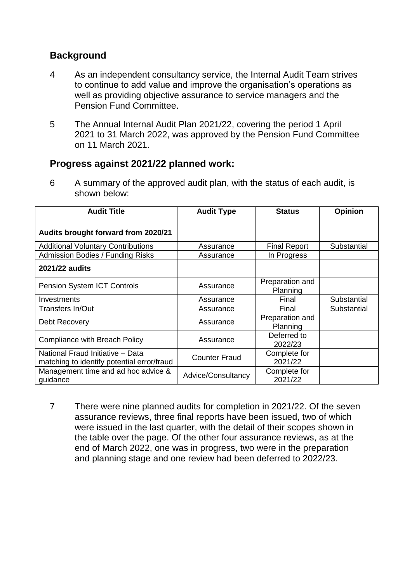#### **Background**

- 4 As an independent consultancy service, the Internal Audit Team strives to continue to add value and improve the organisation's operations as well as providing objective assurance to service managers and the Pension Fund Committee.
- 5 The Annual Internal Audit Plan 2021/22, covering the period 1 April 2021 to 31 March 2022, was approved by the Pension Fund Committee on 11 March 2021.

#### **Progress against 2021/22 planned work:**

6 A summary of the approved audit plan, with the status of each audit, is shown below:

| <b>Audit Title</b>                                                             | <b>Audit Type</b>    | <b>Status</b>               | <b>Opinion</b> |
|--------------------------------------------------------------------------------|----------------------|-----------------------------|----------------|
| Audits brought forward from 2020/21                                            |                      |                             |                |
| <b>Additional Voluntary Contributions</b>                                      | Assurance            | <b>Final Report</b>         | Substantial    |
| <b>Admission Bodies / Funding Risks</b>                                        | Assurance            | In Progress                 |                |
| <b>2021/22 audits</b>                                                          |                      |                             |                |
| <b>Pension System ICT Controls</b>                                             | Assurance            | Preparation and<br>Planning |                |
| Investments                                                                    | Assurance            | Final                       | Substantial    |
| Transfers In/Out                                                               | Assurance            | Final                       | Substantial    |
| Debt Recovery                                                                  | Assurance            | Preparation and<br>Planning |                |
| Compliance with Breach Policy                                                  | Assurance            | Deferred to<br>2022/23      |                |
| National Fraud Initiative - Data<br>matching to identify potential error/fraud | <b>Counter Fraud</b> | Complete for<br>2021/22     |                |
| Management time and ad hoc advice &<br>guidance                                | Advice/Consultancy   | Complete for<br>2021/22     |                |

7 There were nine planned audits for completion in 2021/22. Of the seven assurance reviews, three final reports have been issued, two of which were issued in the last quarter, with the detail of their scopes shown in the table over the page. Of the other four assurance reviews, as at the end of March 2022, one was in progress, two were in the preparation and planning stage and one review had been deferred to 2022/23.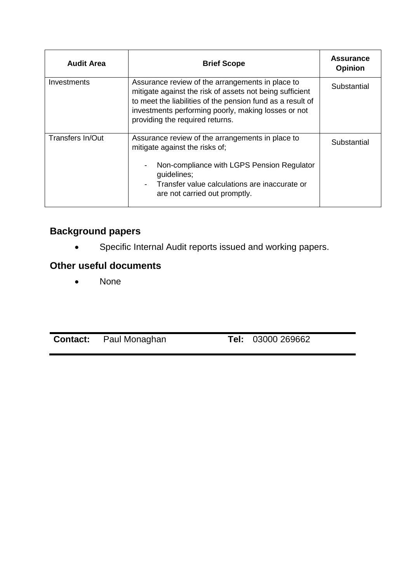| <b>Audit Area</b> | <b>Brief Scope</b>                                                                                                                                                                                                                                                   | <b>Assurance</b><br><b>Opinion</b> |
|-------------------|----------------------------------------------------------------------------------------------------------------------------------------------------------------------------------------------------------------------------------------------------------------------|------------------------------------|
| Investments       | Assurance review of the arrangements in place to<br>mitigate against the risk of assets not being sufficient<br>to meet the liabilities of the pension fund as a result of<br>investments performing poorly, making losses or not<br>providing the required returns. | Substantial                        |
| Transfers In/Out  | Assurance review of the arrangements in place to<br>mitigate against the risks of;<br>Non-compliance with LGPS Pension Regulator<br>$\overline{\phantom{a}}$<br>guidelines;                                                                                          | Substantial                        |
|                   | Transfer value calculations are inaccurate or<br>$\overline{\phantom{0}}$<br>are not carried out promptly.                                                                                                                                                           |                                    |

# **Background papers**

Specific Internal Audit reports issued and working papers.

# **Other useful documents**

• None

**Contact:** Paul Monaghan **Tel:** 03000 269662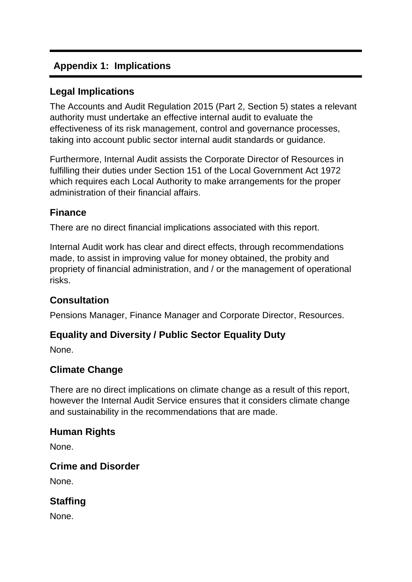# **Appendix 1: Implications**

## **Legal Implications**

The Accounts and Audit Regulation 2015 (Part 2, Section 5) states a relevant authority must undertake an effective internal audit to evaluate the effectiveness of its risk management, control and governance processes, taking into account public sector internal audit standards or guidance.

Furthermore, Internal Audit assists the Corporate Director of Resources in fulfilling their duties under Section 151 of the Local Government Act 1972 which requires each Local Authority to make arrangements for the proper administration of their financial affairs.

## **Finance**

There are no direct financial implications associated with this report.

Internal Audit work has clear and direct effects, through recommendations made, to assist in improving value for money obtained, the probity and propriety of financial administration, and / or the management of operational risks.

# **Consultation**

Pensions Manager, Finance Manager and Corporate Director, Resources.

# **Equality and Diversity / Public Sector Equality Duty**

None.

# **Climate Change**

There are no direct implications on climate change as a result of this report, however the Internal Audit Service ensures that it considers climate change and sustainability in the recommendations that are made.

#### **Human Rights**

None.

#### **Crime and Disorder**

None.

# **Staffing**

None.